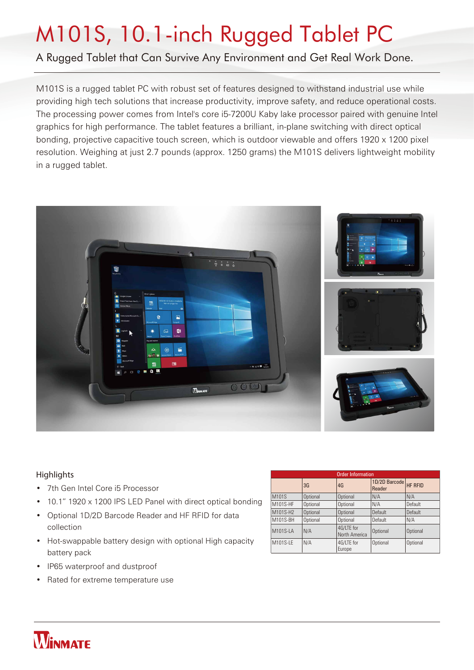# M101S, 10.1-inch Rugged Tablet PC

#### A Rugged Tablet that Can Survive Any Environment and Get Real Work Done.

M101S is a rugged tablet PC with robust set of features designed to withstand industrial use while providing high tech solutions that increase productivity, improve safety, and reduce operational costs. The processing power comes from Intel's core i5-7200U Kaby lake processor paired with genuine Intel graphics for high performance. The tablet features a brilliant, in-plane switching with direct optical bonding, projective capacitive touch screen, which is outdoor viewable and offers 1920 x 1200 pixel resolution. Weighing at just 2.7 pounds (approx. 1250 grams) the M101S delivers lightweight mobility in a rugged tablet.



#### **Highlights**

- 7th Gen Intel Core i5 Processor
- 10.1" 1920 x 1200 IPS LED Panel with direct optical bonding
- Optional 1D/2D Barcode Reader and HF RFID for data collection
- Hot-swappable battery design with optional High capacity battery pack
- IP65 waterproof and dustproof
- Rated for extreme temperature use

| <b>Order Information</b> |          |                             |                                 |          |  |  |
|--------------------------|----------|-----------------------------|---------------------------------|----------|--|--|
|                          | 3G       | 4G                          | 1D/2D Barcode HF RFID<br>Reader |          |  |  |
| M101S                    | Optional | Optional                    | N/A                             | N/A      |  |  |
| M101S-HF                 | Optional | Optional                    | N/A                             | Default  |  |  |
| M101S-H2                 | Optional | Optional                    | Default                         | Default  |  |  |
| M101S-BH                 | Optional | Optional                    | Default                         | N/A      |  |  |
| M101S-LA                 | N/A      | 4G/LTE for<br>North America | Optional                        | Optional |  |  |
| M101S-LE                 | N/A      | 4G/LTE for<br>Europe        | Optional                        | Optional |  |  |

### **WINMATE**